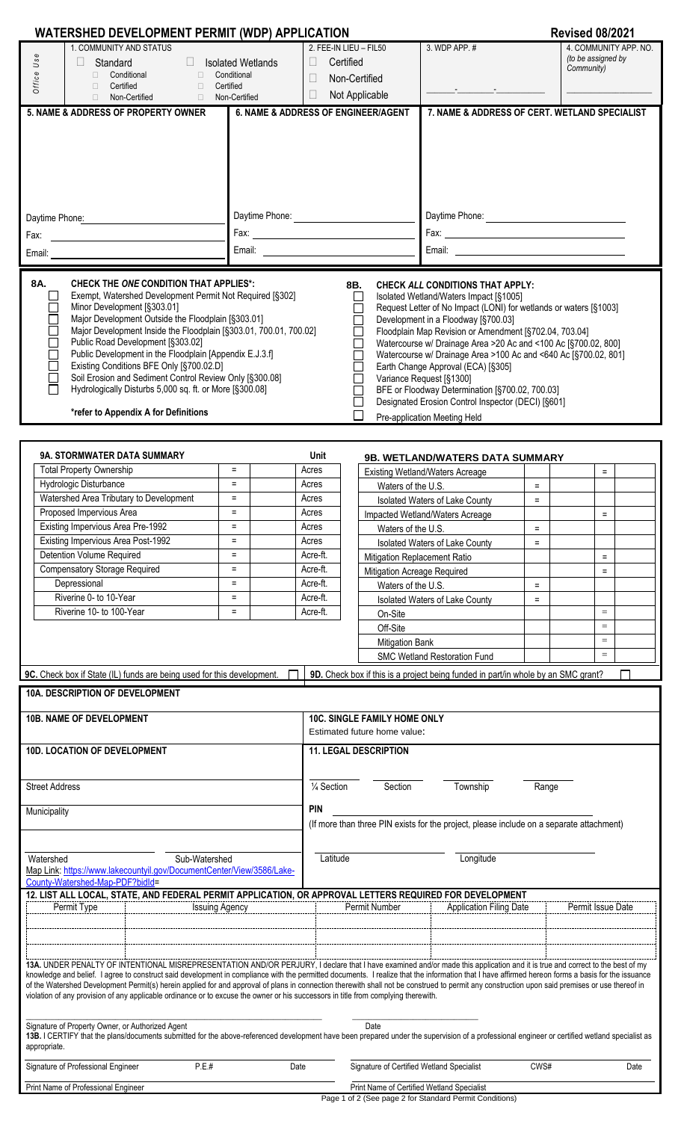| <b>WATERSHED DEVELOPMENT PERMIT (WDP) APPLICATION</b>                                                                                                                                                                                                                                                                                                                                                                                                                                                                                                                                                                                                                                                                                                                                                                                                                                                                                                                                                                                                                                                                                                                                                                  |                                                                       |                                                                                              |                                               |                                                                           |          | <b>Revised 08/2021</b>                                    |  |
|------------------------------------------------------------------------------------------------------------------------------------------------------------------------------------------------------------------------------------------------------------------------------------------------------------------------------------------------------------------------------------------------------------------------------------------------------------------------------------------------------------------------------------------------------------------------------------------------------------------------------------------------------------------------------------------------------------------------------------------------------------------------------------------------------------------------------------------------------------------------------------------------------------------------------------------------------------------------------------------------------------------------------------------------------------------------------------------------------------------------------------------------------------------------------------------------------------------------|-----------------------------------------------------------------------|----------------------------------------------------------------------------------------------|-----------------------------------------------|---------------------------------------------------------------------------|----------|-----------------------------------------------------------|--|
| 1. COMMUNITY AND STATUS<br>Office Use<br>Standard<br>□ Conditional<br>$\Box$<br>□ Certified<br>$\Box$<br>Non-Certified<br>$\Box$<br>$\Box$                                                                                                                                                                                                                                                                                                                                                                                                                                                                                                                                                                                                                                                                                                                                                                                                                                                                                                                                                                                                                                                                             | <b>Isolated Wetlands</b><br>Conditional<br>Certified<br>Non-Certified | 2. FEE-IN LIEU - FIL50<br>Certified<br>$\Box$<br>$\Box$<br>Non-Certified<br>$\Box$           | Not Applicable                                | 3. WDP APP. #                                                             |          | 4. COMMUNITY APP. NO.<br>(to be assigned by<br>Community) |  |
| 5. NAME & ADDRESS OF PROPERTY OWNER                                                                                                                                                                                                                                                                                                                                                                                                                                                                                                                                                                                                                                                                                                                                                                                                                                                                                                                                                                                                                                                                                                                                                                                    | 6. NAME & ADDRESS OF ENGINEER/AGENT                                   |                                                                                              | 7. NAME & ADDRESS OF CERT. WETLAND SPECIALIST |                                                                           |          |                                                           |  |
| Daytime Phone:<br>Fax:<br><u> 1989 - Jan James James Barbara, pre</u><br>Email:                                                                                                                                                                                                                                                                                                                                                                                                                                                                                                                                                                                                                                                                                                                                                                                                                                                                                                                                                                                                                                                                                                                                        |                                                                       | Daytime Phone:                                                                               |                                               |                                                                           |          |                                                           |  |
| 8A.<br><b>CHECK THE ONE CONDITION THAT APPLIES*:</b><br>8B.<br><b>CHECK ALL CONDITIONS THAT APPLY:</b><br>Exempt, Watershed Development Permit Not Required [§302]<br>Isolated Wetland/Waters Impact [§1005]<br>$\mathsf{L}$<br>Minor Development [§303.01]<br>Request Letter of No Impact (LONI) for wetlands or waters [§1003]<br>Major Development Outside the Floodplain [§303.01]<br>Development in a Floodway [§700.03]<br>Major Development Inside the Floodplain [§303.01, 700.01, 700.02]<br>Floodplain Map Revision or Amendment [§702.04, 703.04]<br>Public Road Development [§303.02]<br>Watercourse w/ Drainage Area >20 Ac and <100 Ac [§700.02, 800]<br>Public Development in the Floodplain [Appendix E.J.3.f]<br>Watercourse w/ Drainage Area >100 Ac and <640 Ac [§700.02, 801]<br>Existing Conditions BFE Only [§700.02.D]<br>Earth Change Approval (ECA) [§305]<br>Soil Erosion and Sediment Control Review Only [§300.08]<br>Variance Request [§1300]<br>Hydrologically Disturbs 5,000 sq. ft. or More [§300.08]<br>BFE or Floodway Determination [§700.02, 700.03]<br>Designated Erosion Control Inspector (DECI) [§601]<br>*refer to Appendix A for Definitions<br>Pre-application Meeting Held |                                                                       |                                                                                              |                                               |                                                                           |          |                                                           |  |
| 9A. STORMWATER DATA SUMMARY                                                                                                                                                                                                                                                                                                                                                                                                                                                                                                                                                                                                                                                                                                                                                                                                                                                                                                                                                                                                                                                                                                                                                                                            |                                                                       | Unit                                                                                         |                                               |                                                                           |          |                                                           |  |
| <b>Total Property Ownership</b>                                                                                                                                                                                                                                                                                                                                                                                                                                                                                                                                                                                                                                                                                                                                                                                                                                                                                                                                                                                                                                                                                                                                                                                        | $\equiv$                                                              | Acres                                                                                        |                                               | 9B. WETLAND/WATERS DATA SUMMARY<br><b>Existing Wetland/Waters Acreage</b> |          | $\equiv$                                                  |  |
| Hydrologic Disturbance                                                                                                                                                                                                                                                                                                                                                                                                                                                                                                                                                                                                                                                                                                                                                                                                                                                                                                                                                                                                                                                                                                                                                                                                 | $\equiv$                                                              | Acres                                                                                        | Waters of the U.S.                            |                                                                           | $=$      |                                                           |  |
| Watershed Area Tributary to Development                                                                                                                                                                                                                                                                                                                                                                                                                                                                                                                                                                                                                                                                                                                                                                                                                                                                                                                                                                                                                                                                                                                                                                                | $\equiv$                                                              | Acres                                                                                        |                                               | Isolated Waters of Lake County                                            | $\equiv$ |                                                           |  |
| Proposed Impervious Area                                                                                                                                                                                                                                                                                                                                                                                                                                                                                                                                                                                                                                                                                                                                                                                                                                                                                                                                                                                                                                                                                                                                                                                               | $\equiv$                                                              | Acres                                                                                        |                                               | Impacted Wetland/Waters Acreage                                           |          | $\equiv$                                                  |  |
| Existing Impervious Area Pre-1992                                                                                                                                                                                                                                                                                                                                                                                                                                                                                                                                                                                                                                                                                                                                                                                                                                                                                                                                                                                                                                                                                                                                                                                      |                                                                       | Acres                                                                                        | Waters of the U.S.                            |                                                                           | Ξ        |                                                           |  |
| Existing Impervious Area Post-1992                                                                                                                                                                                                                                                                                                                                                                                                                                                                                                                                                                                                                                                                                                                                                                                                                                                                                                                                                                                                                                                                                                                                                                                     | $=$                                                                   | Acres                                                                                        |                                               | Isolated Waters of Lake County                                            | $\equiv$ |                                                           |  |
| Detention Volume Required                                                                                                                                                                                                                                                                                                                                                                                                                                                                                                                                                                                                                                                                                                                                                                                                                                                                                                                                                                                                                                                                                                                                                                                              | $\equiv$                                                              | Acre-ft.                                                                                     | <b>Mitigation Replacement Ratio</b>           |                                                                           |          | $\equiv$                                                  |  |
| <b>Compensatory Storage Required</b>                                                                                                                                                                                                                                                                                                                                                                                                                                                                                                                                                                                                                                                                                                                                                                                                                                                                                                                                                                                                                                                                                                                                                                                   | $=$                                                                   | Acre-ft.                                                                                     | Mitigation Acreage Required                   |                                                                           |          | $\equiv$                                                  |  |
| Depressional                                                                                                                                                                                                                                                                                                                                                                                                                                                                                                                                                                                                                                                                                                                                                                                                                                                                                                                                                                                                                                                                                                                                                                                                           | $=$                                                                   | Acre-ft.                                                                                     |                                               |                                                                           |          |                                                           |  |
| Riverine 0- to 10-Year                                                                                                                                                                                                                                                                                                                                                                                                                                                                                                                                                                                                                                                                                                                                                                                                                                                                                                                                                                                                                                                                                                                                                                                                 | $=$                                                                   | Acre-ft.                                                                                     | Waters of the U.S.                            |                                                                           | $\equiv$ |                                                           |  |
| Riverine 10- to 100-Year                                                                                                                                                                                                                                                                                                                                                                                                                                                                                                                                                                                                                                                                                                                                                                                                                                                                                                                                                                                                                                                                                                                                                                                               | $=$                                                                   | Acre-ft.                                                                                     |                                               | Isolated Waters of Lake County                                            | $=$      |                                                           |  |
|                                                                                                                                                                                                                                                                                                                                                                                                                                                                                                                                                                                                                                                                                                                                                                                                                                                                                                                                                                                                                                                                                                                                                                                                                        |                                                                       |                                                                                              | On-Site<br>Off-Site<br><b>Mitigation Bank</b> | <b>SMC Wetland Restoration Fund</b>                                       |          | $\qquad \qquad =$<br>$\equiv$<br>$=$<br>$=$               |  |
|                                                                                                                                                                                                                                                                                                                                                                                                                                                                                                                                                                                                                                                                                                                                                                                                                                                                                                                                                                                                                                                                                                                                                                                                                        |                                                                       |                                                                                              |                                               |                                                                           |          |                                                           |  |
| 9C. Check box if State (IL) funds are being used for this development.<br>9D. Check box if this is a project being funded in part/in whole by an SMC grant?<br>10A. DESCRIPTION OF DEVELOPMENT                                                                                                                                                                                                                                                                                                                                                                                                                                                                                                                                                                                                                                                                                                                                                                                                                                                                                                                                                                                                                         |                                                                       |                                                                                              |                                               |                                                                           |          |                                                           |  |
| 10B. NAME OF DEVELOPMENT                                                                                                                                                                                                                                                                                                                                                                                                                                                                                                                                                                                                                                                                                                                                                                                                                                                                                                                                                                                                                                                                                                                                                                                               |                                                                       | 10C. SINGLE FAMILY HOME ONLY<br>Estimated future home value:<br><b>11. LEGAL DESCRIPTION</b> |                                               |                                                                           |          |                                                           |  |
| 10D. LOCATION OF DEVELOPMENT                                                                                                                                                                                                                                                                                                                                                                                                                                                                                                                                                                                                                                                                                                                                                                                                                                                                                                                                                                                                                                                                                                                                                                                           |                                                                       |                                                                                              |                                               |                                                                           |          |                                                           |  |
| <b>Street Address</b><br>Municipality                                                                                                                                                                                                                                                                                                                                                                                                                                                                                                                                                                                                                                                                                                                                                                                                                                                                                                                                                                                                                                                                                                                                                                                  |                                                                       | 1/4 Section<br><b>PIN</b>                                                                    | Section                                       | Township                                                                  | Range    |                                                           |  |
| (If more than three PIN exists for the project, please include on a separate attachment)                                                                                                                                                                                                                                                                                                                                                                                                                                                                                                                                                                                                                                                                                                                                                                                                                                                                                                                                                                                                                                                                                                                               |                                                                       |                                                                                              |                                               |                                                                           |          |                                                           |  |
| Sub-Watershed<br>Watershed<br>Map Link: https://www.lakecountyil.gov/DocumentCenter/View/3586/Lake-<br>County-Watershed-Map-PDF?bidld=                                                                                                                                                                                                                                                                                                                                                                                                                                                                                                                                                                                                                                                                                                                                                                                                                                                                                                                                                                                                                                                                                 | Latitude                                                              | Longitude                                                                                    |                                               |                                                                           |          |                                                           |  |
| 12. LIST ALL LOCAL, STATE, AND FEDERAL PERMIT APPLICATION, OR APPROVAL LETTERS REQUIRED FOR DEVELOPMENT<br>Permit Type<br><b>Issuing Agency</b><br>13A. UNDER PENALTY OF INTENTIONAL MISREPRESENTATION AND/OR PERJURY, I declare that I have examined and/or made this application and it is true and correct to the best of my<br>knowledge and belief. I agree to construct said development in compliance with the permitted documents. I realize that the information that I have affirmed hereon forms a basis for the issuance<br>of the Watershed Development Permit(s) herein applied for and approval of plans in connection therewith shall not be construed to permit any construction upon said premises or use thereof in<br>violation of any provision of any applicable ordinance or to excuse the owner or his successors in title from complying therewith.                                                                                                                                                                                                                                                                                                                                           |                                                                       |                                                                                              | Permit Number                                 | <b>Application Filing Date</b>                                            |          | Permit Issue Date                                         |  |
| Signature of Property Owner, or Authorized Agent<br>13B. I CERTIFY that the plans/documents submitted for the above-referenced development have been prepared under the supervision of a professional engineer or certified wetland specialist as<br>appropriate.                                                                                                                                                                                                                                                                                                                                                                                                                                                                                                                                                                                                                                                                                                                                                                                                                                                                                                                                                      |                                                                       |                                                                                              | Date                                          |                                                                           |          |                                                           |  |
| Signature of Professional Engineer<br>P.E.t<br>Signature of Certified Wetland Specialist<br>CWS#<br>Date<br>Date<br>Drint Name of Drefessional Engine<br>Drint Name of Cartifical Watlor of Cropiclic                                                                                                                                                                                                                                                                                                                                                                                                                                                                                                                                                                                                                                                                                                                                                                                                                                                                                                                                                                                                                  |                                                                       |                                                                                              |                                               |                                                                           |          |                                                           |  |

| Print Name of Professional Engineer | Print Name of Certified Wetland Specialist              |
|-------------------------------------|---------------------------------------------------------|
|                                     | Page 1 of 2 (See page 2 for Standard Permit Conditions) |